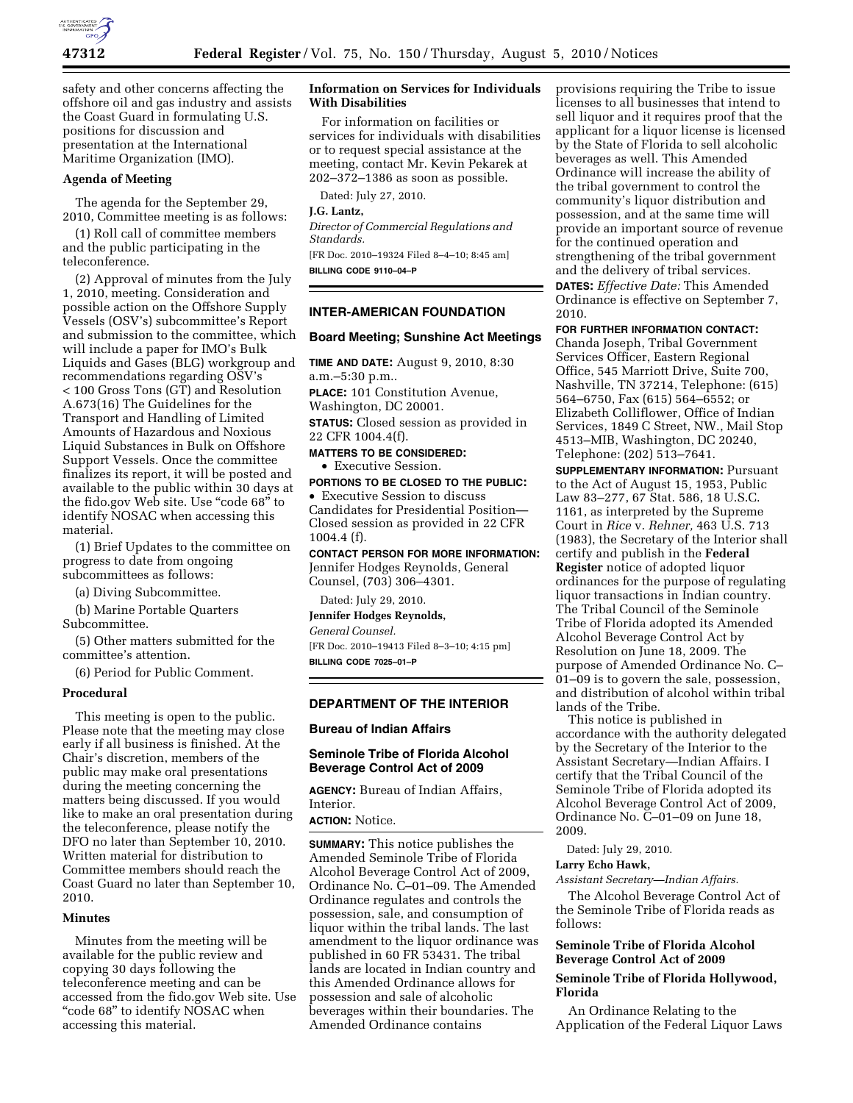

safety and other concerns affecting the offshore oil and gas industry and assists the Coast Guard in formulating U.S. positions for discussion and presentation at the International Maritime Organization (IMO).

#### **Agenda of Meeting**

The agenda for the September 29, 2010, Committee meeting is as follows:

(1) Roll call of committee members and the public participating in the teleconference.

(2) Approval of minutes from the July 1, 2010, meeting. Consideration and possible action on the Offshore Supply Vessels (OSV's) subcommittee's Report and submission to the committee, which will include a paper for IMO's Bulk Liquids and Gases (BLG) workgroup and recommendations regarding OSV's < 100 Gross Tons (GT) and Resolution A.673(16) The Guidelines for the Transport and Handling of Limited Amounts of Hazardous and Noxious Liquid Substances in Bulk on Offshore Support Vessels. Once the committee finalizes its report, it will be posted and available to the public within 30 days at the fido.gov Web site. Use ''code 68'' to identify NOSAC when accessing this material.

(1) Brief Updates to the committee on progress to date from ongoing subcommittees as follows:

(a) Diving Subcommittee.

(b) Marine Portable Quarters Subcommittee.

(5) Other matters submitted for the committee's attention.

(6) Period for Public Comment.

#### **Procedural**

This meeting is open to the public. Please note that the meeting may close early if all business is finished. At the Chair's discretion, members of the public may make oral presentations during the meeting concerning the matters being discussed. If you would like to make an oral presentation during the teleconference, please notify the DFO no later than September 10, 2010. Written material for distribution to Committee members should reach the Coast Guard no later than September 10, 2010.

#### **Minutes**

Minutes from the meeting will be available for the public review and copying 30 days following the teleconference meeting and can be accessed from the fido.gov Web site. Use "code 68" to identify NOSAC when accessing this material.

#### **Information on Services for Individuals With Disabilities**

For information on facilities or services for individuals with disabilities or to request special assistance at the meeting, contact Mr. Kevin Pekarek at 202–372–1386 as soon as possible.

Dated: July 27, 2010.

## **J.G. Lantz,**

*Director of Commercial Regulations and Standards.*  [FR Doc. 2010–19324 Filed 8–4–10; 8:45 am]

**BILLING CODE 9110–04–P** 

# **INTER-AMERICAN FOUNDATION**

### **Board Meeting; Sunshine Act Meetings**

**TIME AND DATE:** August 9, 2010, 8:30 a.m.–5:30 p.m..

**PLACE:** 101 Constitution Avenue, Washington, DC 20001.

**STATUS:** Closed session as provided in 22 CFR 1004.4(f).

**MATTERS TO BE CONSIDERED:**  • Executive Session.

**PORTIONS TO BE CLOSED TO THE PUBLIC:** 

• Executive Session to discuss Candidates for Presidential Position— Closed session as provided in 22 CFR 1004.4 (f).

**CONTACT PERSON FOR MORE INFORMATION:**  Jennifer Hodges Reynolds, General Counsel, (703) 306–4301.

Dated: July 29, 2010.

**Jennifer Hodges Reynolds,** 

*General Counsel.* 

[FR Doc. 2010–19413 Filed 8–3–10; 4:15 pm] **BILLING CODE 7025–01–P** 

#### **DEPARTMENT OF THE INTERIOR**

# **Bureau of Indian Affairs**

### **Seminole Tribe of Florida Alcohol Beverage Control Act of 2009**

**AGENCY:** Bureau of Indian Affairs, Interior.

**ACTION:** Notice.

**SUMMARY:** This notice publishes the Amended Seminole Tribe of Florida Alcohol Beverage Control Act of 2009, Ordinance No. C–01–09. The Amended Ordinance regulates and controls the possession, sale, and consumption of liquor within the tribal lands. The last amendment to the liquor ordinance was published in 60 FR 53431. The tribal lands are located in Indian country and this Amended Ordinance allows for possession and sale of alcoholic beverages within their boundaries. The Amended Ordinance contains

provisions requiring the Tribe to issue licenses to all businesses that intend to sell liquor and it requires proof that the applicant for a liquor license is licensed by the State of Florida to sell alcoholic beverages as well. This Amended Ordinance will increase the ability of the tribal government to control the community's liquor distribution and possession, and at the same time will provide an important source of revenue for the continued operation and strengthening of the tribal government and the delivery of tribal services. **DATES:** *Effective Date:* This Amended Ordinance is effective on September 7,

**FOR FURTHER INFORMATION CONTACT:** 

2010.

Chanda Joseph, Tribal Government Services Officer, Eastern Regional Office, 545 Marriott Drive, Suite 700, Nashville, TN 37214, Telephone: (615) 564–6750, Fax (615) 564–6552; or Elizabeth Colliflower, Office of Indian Services, 1849 C Street, NW., Mail Stop 4513–MIB, Washington, DC 20240, Telephone: (202) 513–7641.

**SUPPLEMENTARY INFORMATION:** Pursuant to the Act of August 15, 1953, Public Law 83–277, 67 Stat. 586, 18 U.S.C. 1161, as interpreted by the Supreme Court in *Rice* v. *Rehner,* 463 U.S. 713 (1983), the Secretary of the Interior shall certify and publish in the **Federal Register** notice of adopted liquor ordinances for the purpose of regulating liquor transactions in Indian country. The Tribal Council of the Seminole Tribe of Florida adopted its Amended Alcohol Beverage Control Act by Resolution on June 18, 2009. The purpose of Amended Ordinance No. C– 01–09 is to govern the sale, possession, and distribution of alcohol within tribal lands of the Tribe.

This notice is published in accordance with the authority delegated by the Secretary of the Interior to the Assistant Secretary—Indian Affairs. I certify that the Tribal Council of the Seminole Tribe of Florida adopted its Alcohol Beverage Control Act of 2009, Ordinance No. C–01–09 on June 18, 2009.

Dated: July 29, 2010.

**Larry Echo Hawk,** 

*Assistant Secretary—Indian Affairs.* 

The Alcohol Beverage Control Act of the Seminole Tribe of Florida reads as follows:

# **Seminole Tribe of Florida Alcohol Beverage Control Act of 2009**

# **Seminole Tribe of Florida Hollywood, Florida**

An Ordinance Relating to the Application of the Federal Liquor Laws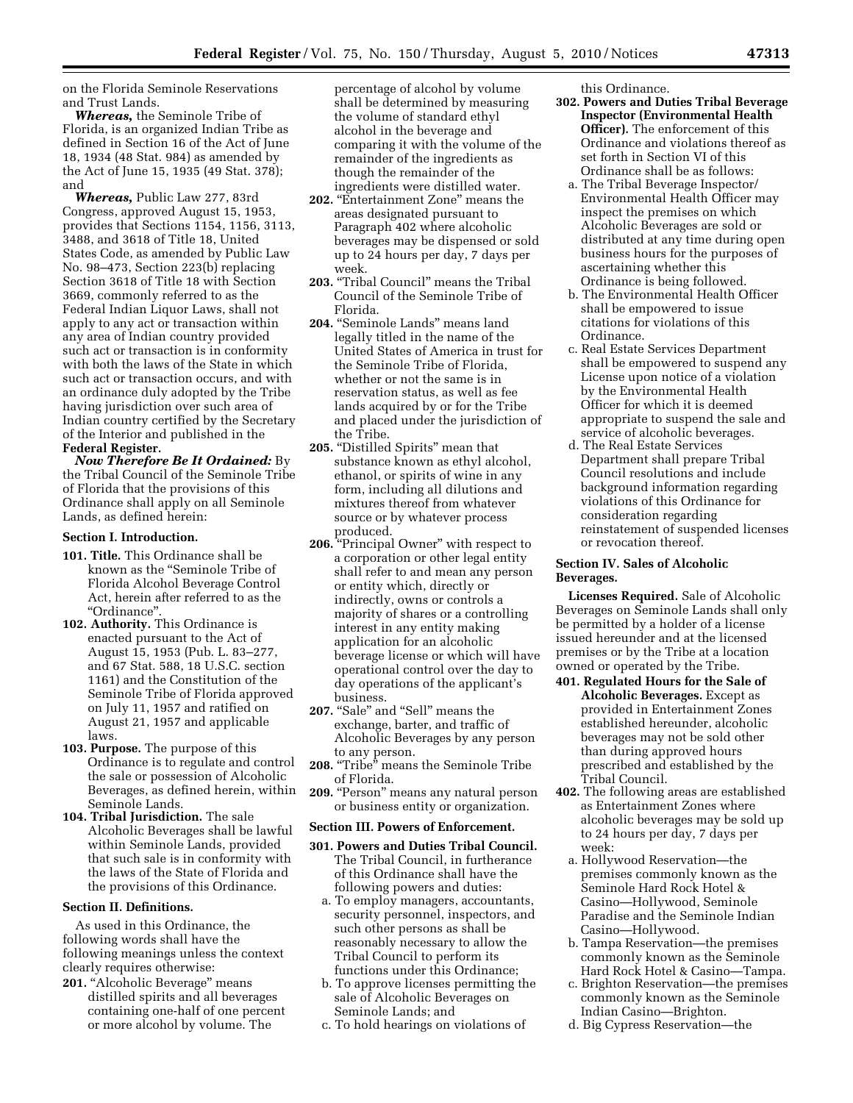on the Florida Seminole Reservations and Trust Lands.

*Whereas,* the Seminole Tribe of Florida, is an organized Indian Tribe as defined in Section 16 of the Act of June 18, 1934 (48 Stat. 984) as amended by the Act of June 15, 1935 (49 Stat. 378); and

*Whereas,* Public Law 277, 83rd Congress, approved August 15, 1953, provides that Sections 1154, 1156, 3113, 3488, and 3618 of Title 18, United States Code, as amended by Public Law No. 98–473, Section 223(b) replacing Section 3618 of Title 18 with Section 3669, commonly referred to as the Federal Indian Liquor Laws, shall not apply to any act or transaction within any area of Indian country provided such act or transaction is in conformity with both the laws of the State in which such act or transaction occurs, and with an ordinance duly adopted by the Tribe having jurisdiction over such area of Indian country certified by the Secretary of the Interior and published in the **Federal Register.** 

*Now Therefore Be It Ordained:* By the Tribal Council of the Seminole Tribe of Florida that the provisions of this Ordinance shall apply on all Seminole Lands, as defined herein:

# **Section I. Introduction.**

- **101. Title.** This Ordinance shall be known as the ''Seminole Tribe of Florida Alcohol Beverage Control Act, herein after referred to as the ''Ordinance''.
- **102. Authority.** This Ordinance is enacted pursuant to the Act of August 15, 1953 (Pub. L. 83–277, and 67 Stat. 588, 18 U.S.C. section 1161) and the Constitution of the Seminole Tribe of Florida approved on July 11, 1957 and ratified on August 21, 1957 and applicable laws.
- **103. Purpose.** The purpose of this Ordinance is to regulate and control the sale or possession of Alcoholic Beverages, as defined herein, within Seminole Lands.
- **104. Tribal Jurisdiction.** The sale Alcoholic Beverages shall be lawful within Seminole Lands, provided that such sale is in conformity with the laws of the State of Florida and the provisions of this Ordinance.

# **Section II. Definitions.**

As used in this Ordinance, the following words shall have the following meanings unless the context clearly requires otherwise:

201. "Alcoholic Beverage" means distilled spirits and all beverages containing one-half of one percent or more alcohol by volume. The

percentage of alcohol by volume shall be determined by measuring the volume of standard ethyl alcohol in the beverage and comparing it with the volume of the remainder of the ingredients as though the remainder of the ingredients were distilled water.

- 202. "Entertainment Zone" means the areas designated pursuant to Paragraph 402 where alcoholic beverages may be dispensed or sold up to 24 hours per day, 7 days per week.
- 203. "Tribal Council" means the Tribal Council of the Seminole Tribe of Florida.
- 204. "Seminole Lands" means land legally titled in the name of the United States of America in trust for the Seminole Tribe of Florida, whether or not the same is in reservation status, as well as fee lands acquired by or for the Tribe and placed under the jurisdiction of the Tribe.
- **205.** "Distilled Spirits" mean that substance known as ethyl alcohol, ethanol, or spirits of wine in any form, including all dilutions and mixtures thereof from whatever source or by whatever process produced.
- **206.** "Principal Owner" with respect to a corporation or other legal entity shall refer to and mean any person or entity which, directly or indirectly, owns or controls a majority of shares or a controlling interest in any entity making application for an alcoholic beverage license or which will have operational control over the day to day operations of the applicant's business.
- 207. "Sale" and "Sell" means the exchange, barter, and traffic of Alcoholic Beverages by any person to any person.
- 208. "Tribe" means the Seminole Tribe of Florida.
- **209.** "Person" means any natural person or business entity or organization.

### **Section III. Powers of Enforcement.**

- **301. Powers and Duties Tribal Council.**  The Tribal Council, in furtherance of this Ordinance shall have the following powers and duties:
	- a. To employ managers, accountants, security personnel, inspectors, and such other persons as shall be reasonably necessary to allow the Tribal Council to perform its functions under this Ordinance;
	- b. To approve licenses permitting the sale of Alcoholic Beverages on Seminole Lands; and
	- c. To hold hearings on violations of

this Ordinance.

- **302. Powers and Duties Tribal Beverage Inspector (Environmental Health Officer).** The enforcement of this Ordinance and violations thereof as set forth in Section VI of this Ordinance shall be as follows:
	- a. The Tribal Beverage Inspector/ Environmental Health Officer may inspect the premises on which Alcoholic Beverages are sold or distributed at any time during open business hours for the purposes of ascertaining whether this Ordinance is being followed.
	- b. The Environmental Health Officer shall be empowered to issue citations for violations of this Ordinance.
	- c. Real Estate Services Department shall be empowered to suspend any License upon notice of a violation by the Environmental Health Officer for which it is deemed appropriate to suspend the sale and service of alcoholic beverages.
	- d. The Real Estate Services Department shall prepare Tribal Council resolutions and include background information regarding violations of this Ordinance for consideration regarding reinstatement of suspended licenses or revocation thereof.

### **Section IV. Sales of Alcoholic Beverages.**

**Licenses Required.** Sale of Alcoholic Beverages on Seminole Lands shall only be permitted by a holder of a license issued hereunder and at the licensed premises or by the Tribe at a location owned or operated by the Tribe.

- **401. Regulated Hours for the Sale of Alcoholic Beverages.** Except as provided in Entertainment Zones established hereunder, alcoholic beverages may not be sold other than during approved hours prescribed and established by the Tribal Council.
- **402.** The following areas are established as Entertainment Zones where alcoholic beverages may be sold up to 24 hours per day, 7 days per week:
	- a. Hollywood Reservation—the premises commonly known as the Seminole Hard Rock Hotel & Casino—Hollywood, Seminole Paradise and the Seminole Indian Casino—Hollywood.
	- b. Tampa Reservation—the premises commonly known as the Seminole Hard Rock Hotel & Casino—Tampa.
	- c. Brighton Reservation—the premises commonly known as the Seminole Indian Casino—Brighton.
	- d. Big Cypress Reservation—the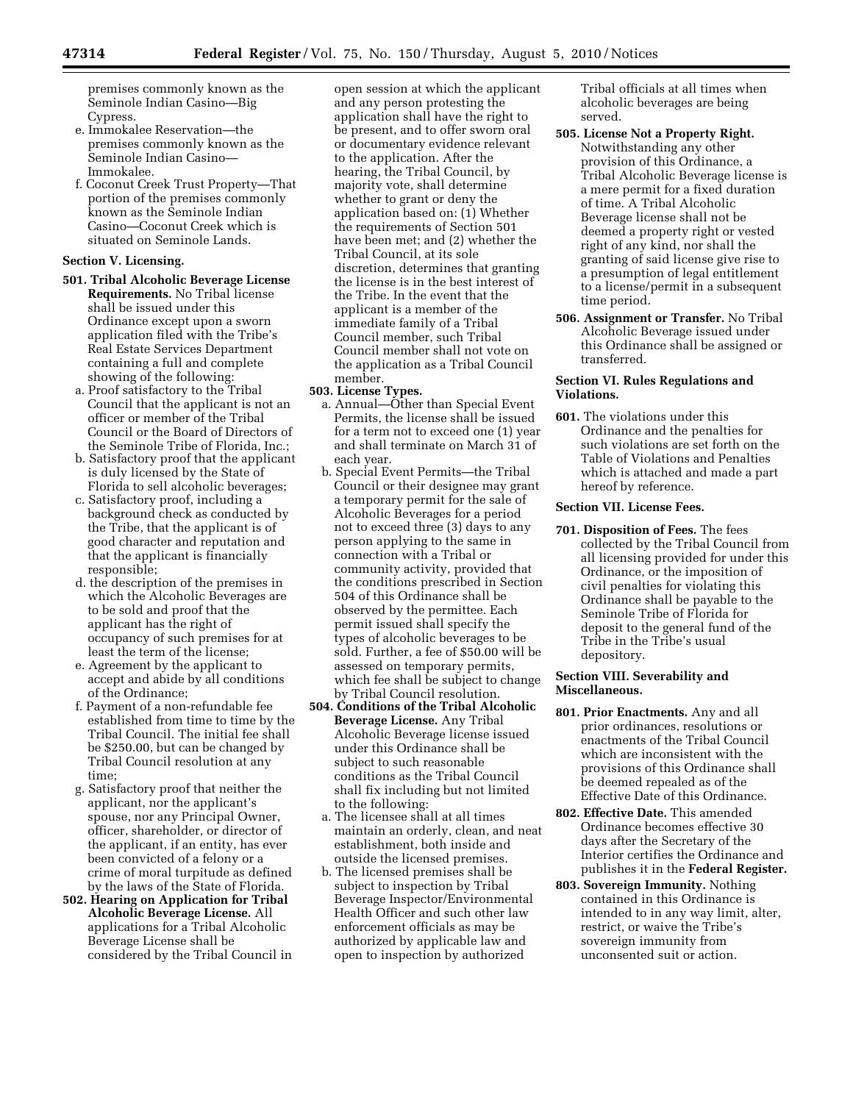premises commonly known as the Seminole Indian Casino—Big Cypress.

- e. Immokalee Reservation—the premises commonly known as the Seminole Indian Casino— Immokalee.
- f. Coconut Creek Trust Property—That portion of the premises commonly known as the Seminole Indian Casino—Coconut Creek which is situated on Seminole Lands.

# **Section V. Licensing.**

- **501. Tribal Alcoholic Beverage License Requirements.** No Tribal license shall be issued under this Ordinance except upon a sworn application filed with the Tribe's Real Estate Services Department containing a full and complete showing of the following:
	- a. Proof satisfactory to the Tribal Council that the applicant is not an officer or member of the Tribal Council or the Board of Directors of the Seminole Tribe of Florida, Inc.;
	- b. Satisfactory proof that the applicant is duly licensed by the State of Florida to sell alcoholic beverages;
	- c. Satisfactory proof, including a background check as conducted by the Tribe, that the applicant is of good character and reputation and that the applicant is financially responsible;
	- d. the description of the premises in which the Alcoholic Beverages are to be sold and proof that the applicant has the right of occupancy of such premises for at least the term of the license;
	- e. Agreement by the applicant to accept and abide by all conditions of the Ordinance;
	- f. Payment of a non-refundable fee established from time to time by the Tribal Council. The initial fee shall be \$250.00, but can be changed by Tribal Council resolution at any time;
	- g. Satisfactory proof that neither the applicant, nor the applicant's spouse, nor any Principal Owner, officer, shareholder, or director of the applicant, if an entity, has ever been convicted of a felony or a crime of moral turpitude as defined by the laws of the State of Florida.
- **502. Hearing on Application for Tribal Alcoholic Beverage License.** All applications for a Tribal Alcoholic Beverage License shall be considered by the Tribal Council in

open session at which the applicant and any person protesting the application shall have the right to be present, and to offer sworn oral or documentary evidence relevant to the application. After the hearing, the Tribal Council, by majority vote, shall determine whether to grant or deny the application based on: (1) Whether the requirements of Section 501 have been met; and (2) whether the Tribal Council, at its sole discretion, determines that granting the license is in the best interest of the Tribe. In the event that the applicant is a member of the immediate family of a Tribal Council member, such Tribal Council member shall not vote on the application as a Tribal Council member.

### **503. License Types.**

- a. Annual—Other than Special Event Permits, the license shall be issued for a term not to exceed one (1) year and shall terminate on March 31 of each year.
- b. Special Event Permits—the Tribal Council or their designee may grant a temporary permit for the sale of Alcoholic Beverages for a period not to exceed three (3) days to any person applying to the same in connection with a Tribal or community activity, provided that the conditions prescribed in Section 504 of this Ordinance shall be observed by the permittee. Each permit issued shall specify the types of alcoholic beverages to be sold. Further, a fee of \$50.00 will be assessed on temporary permits, which fee shall be subject to change by Tribal Council resolution.
- **504. Conditions of the Tribal Alcoholic Beverage License.** Any Tribal Alcoholic Beverage license issued under this Ordinance shall be subject to such reasonable conditions as the Tribal Council shall fix including but not limited to the following:
	- a. The licensee shall at all times maintain an orderly, clean, and neat establishment, both inside and outside the licensed premises.
	- b. The licensed premises shall be subject to inspection by Tribal Beverage Inspector/Environmental Health Officer and such other law enforcement officials as may be authorized by applicable law and open to inspection by authorized

Tribal officials at all times when alcoholic beverages are being served.

- **505. License Not a Property Right.**  Notwithstanding any other provision of this Ordinance, a Tribal Alcoholic Beverage license is a mere permit for a fixed duration of time. A Tribal Alcoholic Beverage license shall not be deemed a property right or vested right of any kind, nor shall the granting of said license give rise to a presumption of legal entitlement to a license/permit in a subsequent time period.
- **506. Assignment or Transfer.** No Tribal Alcoholic Beverage issued under this Ordinance shall be assigned or transferred.

## **Section VI. Rules Regulations and Violations.**

**601.** The violations under this Ordinance and the penalties for such violations are set forth on the Table of Violations and Penalties which is attached and made a part hereof by reference.

### **Section VII. License Fees.**

**701. Disposition of Fees.** The fees collected by the Tribal Council from all licensing provided for under this Ordinance, or the imposition of civil penalties for violating this Ordinance shall be payable to the Seminole Tribe of Florida for deposit to the general fund of the Tribe in the Tribe's usual depository.

# **Section VIII. Severability and Miscellaneous.**

- **801. Prior Enactments.** Any and all prior ordinances, resolutions or enactments of the Tribal Council which are inconsistent with the provisions of this Ordinance shall be deemed repealed as of the Effective Date of this Ordinance.
- **802. Effective Date.** This amended Ordinance becomes effective 30 days after the Secretary of the Interior certifies the Ordinance and publishes it in the **Federal Register.**
- **803. Sovereign Immunity.** Nothing contained in this Ordinance is intended to in any way limit, alter, restrict, or waive the Tribe's sovereign immunity from unconsented suit or action.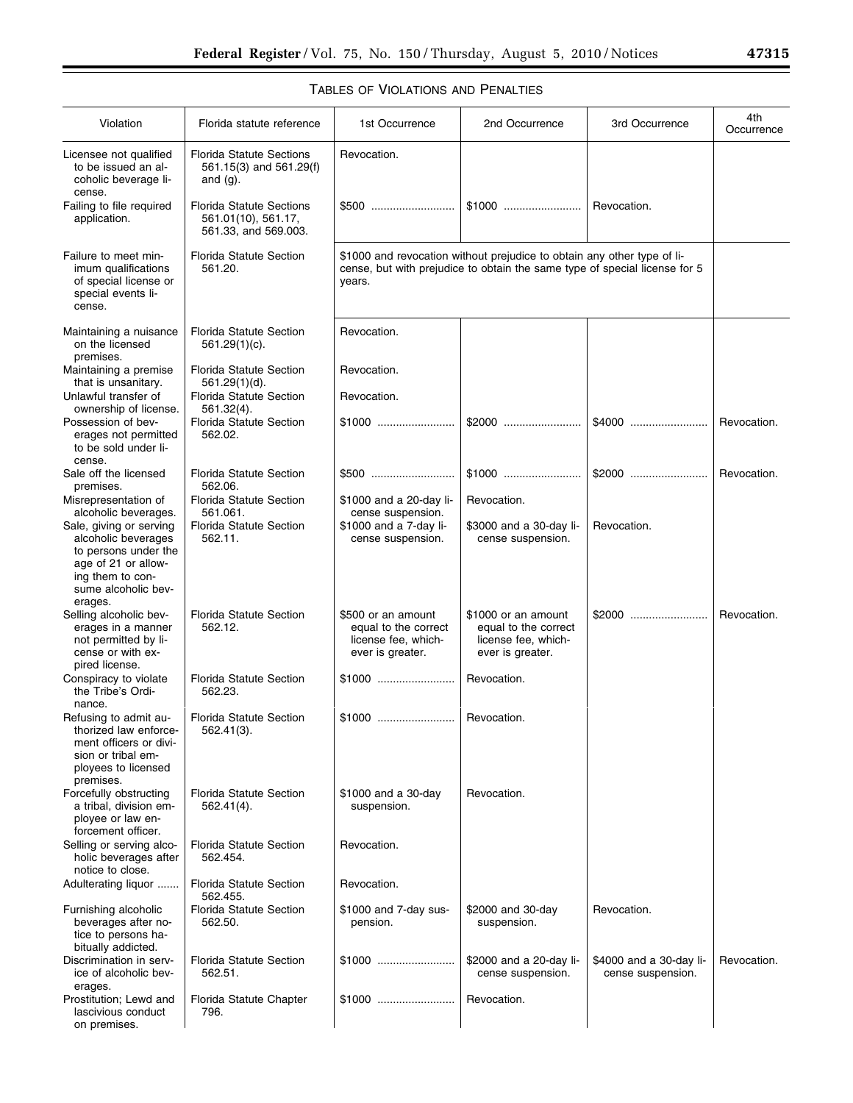| Violation                                                                                                                                           | Florida statute reference                                                      | 1st Occurrence                                                                                                                                                  | 2nd Occurrence                                                                         | 3rd Occurrence                               | 4th<br>Occurrence |
|-----------------------------------------------------------------------------------------------------------------------------------------------------|--------------------------------------------------------------------------------|-----------------------------------------------------------------------------------------------------------------------------------------------------------------|----------------------------------------------------------------------------------------|----------------------------------------------|-------------------|
| Licensee not qualified<br>to be issued an al-<br>coholic beverage li-<br>cense.                                                                     | <b>Florida Statute Sections</b><br>561.15(3) and 561.29(f)<br>and $(g)$ .      | Revocation.                                                                                                                                                     |                                                                                        |                                              |                   |
| Failing to file required<br>application.                                                                                                            | <b>Florida Statute Sections</b><br>561.01(10), 561.17,<br>561.33, and 569.003. |                                                                                                                                                                 |                                                                                        | Revocation.                                  |                   |
| Failure to meet min-<br>imum qualifications<br>of special license or<br>special events li-<br>cense.                                                | <b>Florida Statute Section</b><br>561.20.                                      | \$1000 and revocation without prejudice to obtain any other type of li-<br>cense, but with prejudice to obtain the same type of special license for 5<br>years. |                                                                                        |                                              |                   |
| Maintaining a nuisance<br>on the licensed<br>premises.                                                                                              | <b>Florida Statute Section</b><br>561.29(1)(c).                                | Revocation.                                                                                                                                                     |                                                                                        |                                              |                   |
| Maintaining a premise<br>that is unsanitary.                                                                                                        | Florida Statute Section<br>561.29(1)(d).                                       | Revocation.                                                                                                                                                     |                                                                                        |                                              |                   |
| Unlawful transfer of<br>ownership of license.                                                                                                       | <b>Florida Statute Section</b><br>561.32(4).                                   | Revocation.                                                                                                                                                     |                                                                                        |                                              |                   |
| Possession of bev-<br>erages not permitted<br>to be sold under li-<br>cense.                                                                        | <b>Florida Statute Section</b><br>562.02.                                      |                                                                                                                                                                 |                                                                                        |                                              | Revocation.       |
| Sale off the licensed<br>premises.                                                                                                                  | <b>Florida Statute Section</b><br>562.06.                                      |                                                                                                                                                                 |                                                                                        |                                              | Revocation.       |
| Misrepresentation of<br>alcoholic beverages.                                                                                                        | <b>Florida Statute Section</b><br>561.061.                                     | \$1000 and a 20-day li-<br>cense suspension.                                                                                                                    | Revocation.                                                                            |                                              |                   |
| Sale, giving or serving<br>alcoholic beverages<br>to persons under the<br>age of 21 or allow-<br>ing them to con-<br>sume alcoholic bev-<br>erages. | <b>Florida Statute Section</b><br>562.11.                                      | \$1000 and a 7-day li-<br>cense suspension.                                                                                                                     | \$3000 and a 30-day li-<br>cense suspension.                                           | Revocation.                                  |                   |
| Selling alcoholic bev-<br>erages in a manner<br>not permitted by li-<br>cense or with ex-<br>pired license.                                         | <b>Florida Statute Section</b><br>562.12.                                      | \$500 or an amount<br>equal to the correct<br>license fee, which-<br>ever is greater.                                                                           | \$1000 or an amount<br>equal to the correct<br>license fee, which-<br>ever is greater. |                                              | Revocation.       |
| Conspiracy to violate<br>the Tribe's Ordi-<br>nance.                                                                                                | <b>Florida Statute Section</b><br>562.23.                                      |                                                                                                                                                                 | Revocation.                                                                            |                                              |                   |
| Refusing to admit au-<br>thorized law enforce-<br>ment officers or divi-<br>sion or tribal em-<br>ployees to licensed<br>premises.                  | <b>Florida Statute Section</b><br>$562.41(3)$ .                                | \$1000    Revocation.                                                                                                                                           |                                                                                        |                                              |                   |
| Forcefully obstructing<br>a tribal, division em-<br>ployee or law en-<br>forcement officer.                                                         | <b>Florida Statute Section</b><br>562.41(4).                                   | \$1000 and a 30-day<br>suspension.                                                                                                                              | Revocation.                                                                            |                                              |                   |
| Selling or serving alco-<br>holic beverages after<br>notice to close.                                                                               | <b>Florida Statute Section</b><br>562.454.                                     | Revocation.                                                                                                                                                     |                                                                                        |                                              |                   |
| Adulterating liquor                                                                                                                                 | <b>Florida Statute Section</b><br>562.455.                                     | Revocation.                                                                                                                                                     |                                                                                        |                                              |                   |
| Furnishing alcoholic<br>beverages after no-<br>tice to persons ha-<br>bitually addicted.                                                            | <b>Florida Statute Section</b><br>562.50.                                      | \$1000 and 7-day sus-<br>pension.                                                                                                                               | \$2000 and 30-day<br>suspension.                                                       | Revocation.                                  |                   |
| Discrimination in serv-<br>ice of alcoholic bev-<br>erages.                                                                                         | <b>Florida Statute Section</b><br>562.51.                                      |                                                                                                                                                                 | \$2000 and a 20-day li-<br>cense suspension.                                           | \$4000 and a 30-day li-<br>cense suspension. | Revocation.       |
| Prostitution; Lewd and<br>lascivious conduct<br>on premises.                                                                                        | Florida Statute Chapter<br>796.                                                |                                                                                                                                                                 | Revocation.                                                                            |                                              |                   |

# TABLES OF VIOLATIONS AND PENALTIES